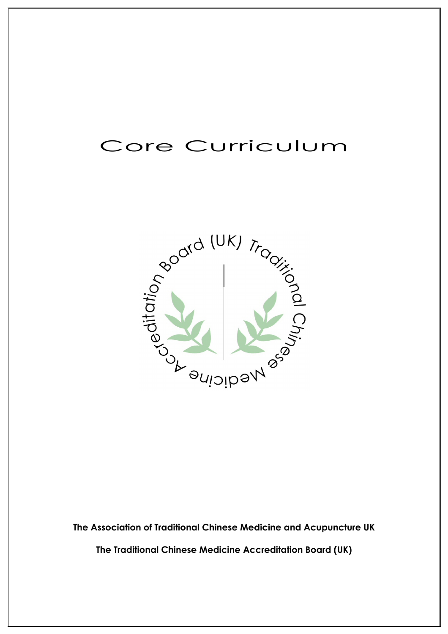# Core Curriculum



**The Association of Traditional Chinese Medicine and Acupuncture UK**

**The Traditional Chinese Medicine Accreditation Board (UK)**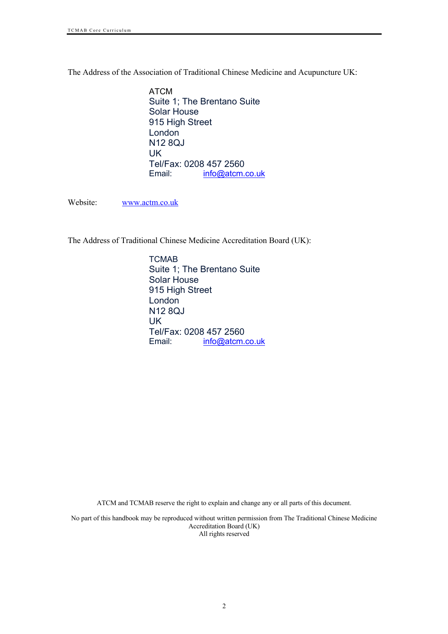The Address of the Association of Traditional Chinese Medicine and Acupuncture UK:

ATCM Suite 1; The Brentano Suite Solar House 915 High Street London N12 8QJ UK Tel/Fax: 0208 457 2560 Email: info@atcm.co.uk

Website: www.actm.co.uk

The Address of Traditional Chinese Medicine Accreditation Board (UK):

**TCMAB** Suite 1; The Brentano Suite Solar House 915 High Street London N12 8QJ UK Tel/Fax: 0208 457 2560<br>Email: info@atcm. info@atcm.co.uk

ATCM and TCMAB reserve the right to explain and change any or all parts of this document.

No part of this handbook may be reproduced without written permission from The Traditional Chinese Medicine Accreditation Board (UK) All rights reserved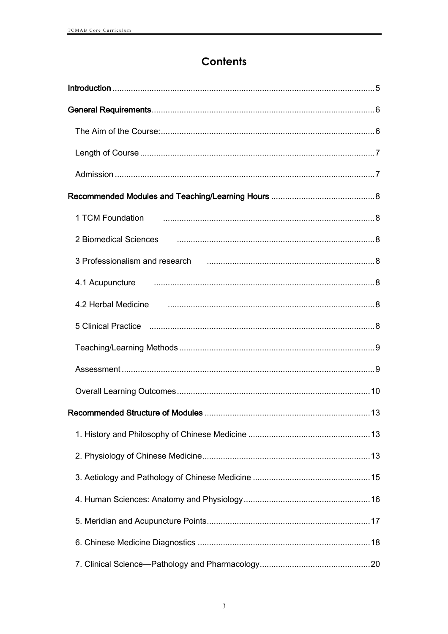# **Contents**

| 2 Biomedical Sciences <b>contracts</b> and all and series of the contract of the contract of the contract of the contract of the contract of the contract of the contract of the contract of the contract of the contract of the co |
|-------------------------------------------------------------------------------------------------------------------------------------------------------------------------------------------------------------------------------------|
| 3 Professionalism and research использование и полной составительно и полной в де-                                                                                                                                                  |
|                                                                                                                                                                                                                                     |
| 4.2 Herbal Medicine <b>contract and the contract of the contract of the contract of the contract of the contract o</b>                                                                                                              |
|                                                                                                                                                                                                                                     |
|                                                                                                                                                                                                                                     |
|                                                                                                                                                                                                                                     |
|                                                                                                                                                                                                                                     |
|                                                                                                                                                                                                                                     |
|                                                                                                                                                                                                                                     |
|                                                                                                                                                                                                                                     |
|                                                                                                                                                                                                                                     |
|                                                                                                                                                                                                                                     |
|                                                                                                                                                                                                                                     |
|                                                                                                                                                                                                                                     |
|                                                                                                                                                                                                                                     |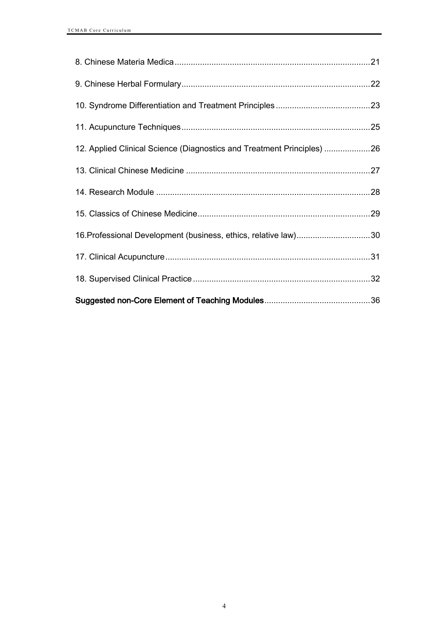| 12. Applied Clinical Science (Diagnostics and Treatment Principles) 26 |  |
|------------------------------------------------------------------------|--|
|                                                                        |  |
|                                                                        |  |
|                                                                        |  |
| 16. Professional Development (business, ethics, relative law)30        |  |
|                                                                        |  |
|                                                                        |  |
|                                                                        |  |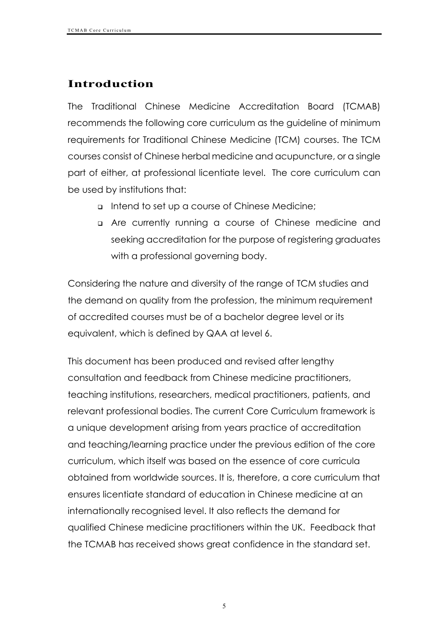# **Introduction**

The Traditional Chinese Medicine Accreditation Board (TCMAB) recommends the following core curriculum as the guideline of minimum requirements for Traditional Chinese Medicine (TCM) courses. The TCM courses consist of Chinese herbal medicine and acupuncture, or a single part of either, at professional licentiate level. The core curriculum can be used by institutions that:

- <sup>q</sup> Intend to set up a course of Chinese Medicine;
- <sup>q</sup> Are currently running a course of Chinese medicine and seeking accreditation for the purpose of registering graduates with a professional governing body.

Considering the nature and diversity of the range of TCM studies and the demand on quality from the profession, the minimum requirement of accredited courses must be of a bachelor degree level or its equivalent, which is defined by QAA at level 6.

This document has been produced and revised after lengthy consultation and feedback from Chinese medicine practitioners, teaching institutions, researchers, medical practitioners, patients, and relevant professional bodies. The current Core Curriculum framework is a unique development arising from years practice of accreditation and teaching/learning practice under the previous edition of the core curriculum, which itself was based on the essence of core curricula obtained from worldwide sources. It is, therefore, a core curriculum that ensures licentiate standard of education in Chinese medicine at an internationally recognised level. It also reflects the demand for qualified Chinese medicine practitioners within the UK. Feedback that the TCMAB has received shows great confidence in the standard set.

5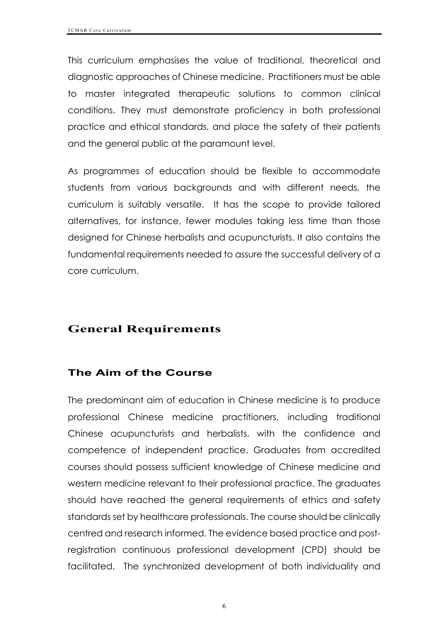This curriculum emphasises the value of traditional, theoretical and diagnostic approaches of Chinese medicine. Practitioners must be able to master integrated therapeutic solutions to common clinical conditions. They must demonstrate proficiency in both professional practice and ethical standards, and place the safety of their patients and the general public at the paramount level.

As programmes of education should be flexible to accommodate students from various backgrounds and with different needs, the curriculum is suitably versatile. It has the scope to provide tailored alternatives, for instance, fewer modules taking less time than those designed for Chinese herbalists and acupuncturists. It also contains the fundamental requirements needed to assure the successful delivery of a core curriculum.

# **General Requirements**

# **The Aim of the Course**

The predominant aim of education in Chinese medicine is to produce professional Chinese medicine practitioners, including traditional Chinese acupuncturists and herbalists, with the confidence and competence of independent practice. Graduates from accredited courses should possess sufficient knowledge of Chinese medicine and western medicine relevant to their professional practice. The graduates should have reached the general requirements of ethics and safety standards set by healthcare professionals. The course should be clinically centred and research informed. The evidence based practice and postregistration continuous professional development (CPD) should be facilitated. The synchronized development of both individuality and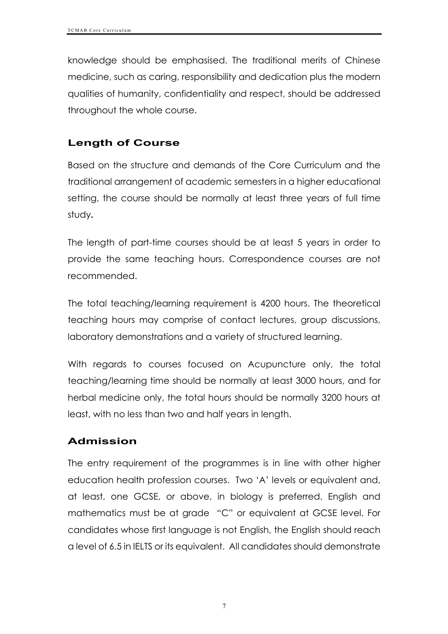knowledge should be emphasised. The traditional merits of Chinese medicine, such as caring, responsibility and dedication plus the modern qualities of humanity, confidentiality and respect, should be addressed throughout the whole course.

# **Length of Course**

Based on the structure and demands of the Core Curriculum and the traditional arrangement of academic semesters in a higher educational setting, the course should be normally at least three years of full time study**.**

The length of part-time courses should be at least 5 years in order to provide the same teaching hours. Correspondence courses are not recommended.

The total teaching/learning requirement is 4200 hours. The theoretical teaching hours may comprise of contact lectures, group discussions, laboratory demonstrations and a variety of structured learning.

With regards to courses focused on Acupuncture only, the total teaching/learning time should be normally at least 3000 hours, and for herbal medicine only, the total hours should be normally 3200 hours at least, with no less than two and half years in length.

# **Admission**

The entry requirement of the programmes is in line with other higher education health profession courses. Two 'A' levels or equivalent and, at least, one GCSE, or above, in biology is preferred. English and mathematics must be at grade "C" or equivalent at GCSE level. For candidates whose first language is not English, the English should reach a level of 6.5 in IELTS or its equivalent. All candidates should demonstrate

7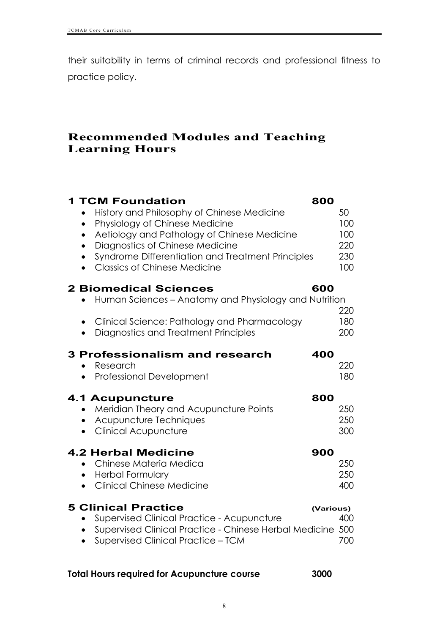their suitability in terms of criminal records and professional fitness to practice policy.

# **Recommended Modules and Teaching Learning Hours**

| <b>1 TCM Foundation</b><br>History and Philosophy of Chinese Medicine<br>Physiology of Chinese Medicine<br>Aetiology and Pathology of Chinese Medicine<br>$\bullet$<br>Diagnostics of Chinese Medicine<br>Syndrome Differentiation and Treatment Principles<br><b>Classics of Chinese Medicine</b><br>$\bullet$ | 800       | 50<br>100<br>100<br>220<br>230<br>100 |
|-----------------------------------------------------------------------------------------------------------------------------------------------------------------------------------------------------------------------------------------------------------------------------------------------------------------|-----------|---------------------------------------|
| <b>2 Biomedical Sciences</b><br>Human Sciences – Anatomy and Physiology and Nutrition<br>Clinical Science: Pathology and Pharmacology<br>$\bullet$<br>Diagnostics and Treatment Principles                                                                                                                      | 600       | 220<br>180<br>200                     |
| <b>3 Professionalism and research</b><br>Research<br>$\bullet$<br>Professional Development                                                                                                                                                                                                                      | 400       | 220<br>180                            |
| <b>4.1 Acupuncture</b><br>Meridian Theory and Acupuncture Points<br>Acupuncture Techniques<br><b>Clinical Acupuncture</b>                                                                                                                                                                                       | 800       | 250<br>250<br>300                     |
| <b>4.2 Herbal Medicine</b><br>Chinese Materia Medica<br>$\bullet$<br><b>Herbal Formulary</b><br>$\bullet$<br><b>Clinical Chinese Medicine</b><br>$\bullet$                                                                                                                                                      | 900       | 250<br>250<br>400                     |
| <b>5 Clinical Practice</b><br><b>Supervised Clinical Practice - Acupuncture</b><br>$\bullet$<br>Supervised Clinical Practice - Chinese Herbal Medicine<br><b>Supervised Clinical Practice - TCM</b>                                                                                                             | (Various) | 400<br>500<br>700                     |

### **Total Hours required for Acupuncture course 3000**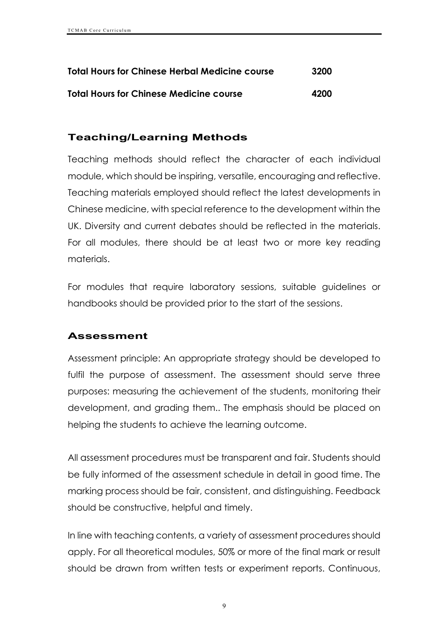| <b>Total Hours for Chinese Herbal Medicine course</b> | 3200 |
|-------------------------------------------------------|------|
| <b>Total Hours for Chinese Medicine course</b>        | 4200 |

# **Teaching/Learning Methods**

Teaching methods should reflect the character of each individual module, which should be inspiring, versatile, encouraging and reflective. Teaching materials employed should reflect the latest developments in Chinese medicine, with special reference to the development within the UK. Diversity and current debates should be reflected in the materials. For all modules, there should be at least two or more key reading materials.

For modules that require laboratory sessions, suitable guidelines or handbooks should be provided prior to the start of the sessions.

# **Assessment**

Assessment principle: An appropriate strategy should be developed to fulfil the purpose of assessment. The assessment should serve three purposes: measuring the achievement of the students, monitoring their development, and grading them.. The emphasis should be placed on helping the students to achieve the learning outcome.

All assessment procedures must be transparent and fair. Students should be fully informed of the assessment schedule in detail in good time. The marking process should be fair, consistent, and distinguishing. Feedback should be constructive, helpful and timely.

In line with teaching contents, a variety of assessment procedures should apply. For all theoretical modules, 50% or more of the final mark or result should be drawn from written tests or experiment reports. Continuous,

9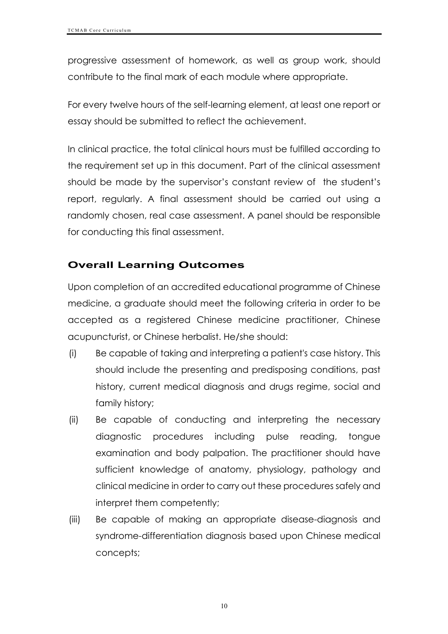progressive assessment of homework, as well as group work, should contribute to the final mark of each module where appropriate.

For every twelve hours of the self-learning element, at least one report or essay should be submitted to reflect the achievement.

In clinical practice, the total clinical hours must be fulfilled according to the requirement set up in this document. Part of the clinical assessment should be made by the supervisor's constant review of the student's report, regularly. A final assessment should be carried out using a randomly chosen, real case assessment. A panel should be responsible for conducting this final assessment.

# **Overall Learning Outcomes**

Upon completion of an accredited educational programme of Chinese medicine, a graduate should meet the following criteria in order to be accepted as a registered Chinese medicine practitioner, Chinese acupuncturist, or Chinese herbalist. He/she should:

- (i) Be capable of taking and interpreting a patient's case history. This should include the presenting and predisposing conditions, past history, current medical diagnosis and drugs regime, social and family history;
- (ii) Be capable of conducting and interpreting the necessary diagnostic procedures including pulse reading, tongue examination and body palpation. The practitioner should have sufficient knowledge of anatomy, physiology, pathology and clinical medicine in order to carry out these procedures safely and interpret them competently;
- (iii) Be capable of making an appropriate disease-diagnosis and syndrome-differentiation diagnosis based upon Chinese medical concepts;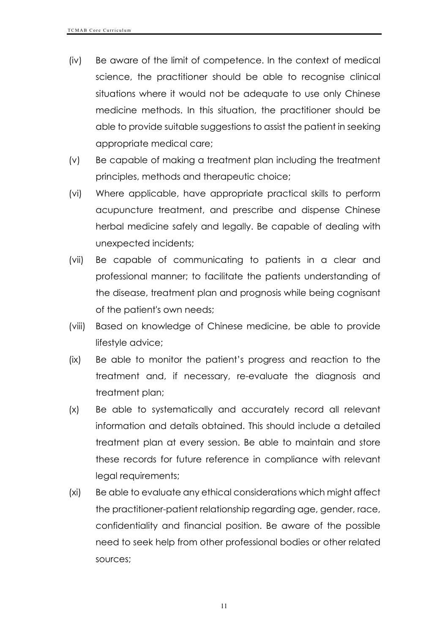- (iv) Be aware of the limit of competence. In the context of medical science, the practitioner should be able to recognise clinical situations where it would not be adequate to use only Chinese medicine methods. In this situation, the practitioner should be able to provide suitable suggestions to assist the patient in seeking appropriate medical care;
- (v) Be capable of making a treatment plan including the treatment principles, methods and therapeutic choice;
- (vi) Where applicable, have appropriate practical skills to perform acupuncture treatment, and prescribe and dispense Chinese herbal medicine safely and legally. Be capable of dealing with unexpected incidents;
- (vii) Be capable of communicating to patients in a clear and professional manner; to facilitate the patients understanding of the disease, treatment plan and prognosis while being cognisant of the patient's own needs;
- (viii) Based on knowledge of Chinese medicine, be able to provide lifestyle advice;
- (ix) Be able to monitor the patient's progress and reaction to the treatment and, if necessary, re-evaluate the diagnosis and treatment plan;
- (x) Be able to systematically and accurately record all relevant information and details obtained. This should include a detailed treatment plan at every session. Be able to maintain and store these records for future reference in compliance with relevant legal requirements;
- (xi) Be able to evaluate any ethical considerations which might affect the practitioner-patient relationship regarding age, gender, race, confidentiality and financial position. Be aware of the possible need to seek help from other professional bodies or other related sources;

11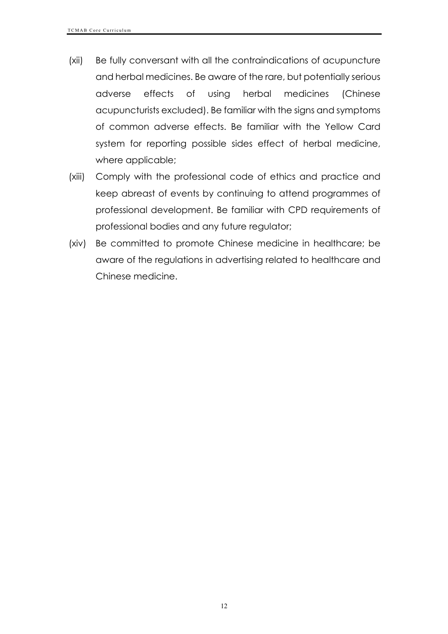- (xii) Be fully conversant with all the contraindications of acupuncture and herbal medicines. Be aware of the rare, but potentially serious adverse effects of using herbal medicines (Chinese acupuncturists excluded). Be familiar with the signs and symptoms of common adverse effects. Be familiar with the Yellow Card system for reporting possible sides effect of herbal medicine, where applicable;
- (xiii) Comply with the professional code of ethics and practice and keep abreast of events by continuing to attend programmes of professional development. Be familiar with CPD requirements of professional bodies and any future regulator;
- (xiv) Be committed to promote Chinese medicine in healthcare; be aware of the regulations in advertising related to healthcare and Chinese medicine.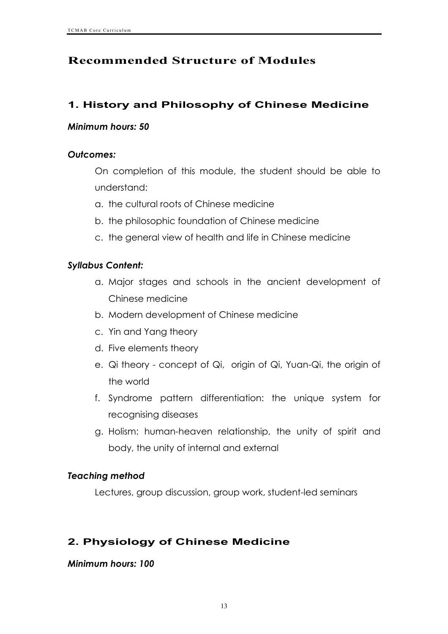# **Recommended Structure of Modules**

# **1. History and Philosophy of Chinese Medicine**

#### *Minimum hours: 50*

#### *Outcomes:*

On completion of this module, the student should be able to understand:

- a. the cultural roots of Chinese medicine
- b. the philosophic foundation of Chinese medicine
- c. the general view of health and life in Chinese medicine

### *Syllabus Content:*

- a. Major stages and schools in the ancient development of Chinese medicine
- b. Modern development of Chinese medicine
- c. Yin and Yang theory
- d. Five elements theory
- e. Qi theory concept of Qi, origin of Qi, Yuan-Qi, the origin of the world
- f. Syndrome pattern differentiation: the unique system for recognising diseases
- g. Holism: human-heaven relationship, the unity of spirit and body, the unity of internal and external

# *Teaching method*

Lectures, group discussion, group work, student-led seminars

# **2. Physiology of Chinese Medicine**

#### *Minimum hours: 100*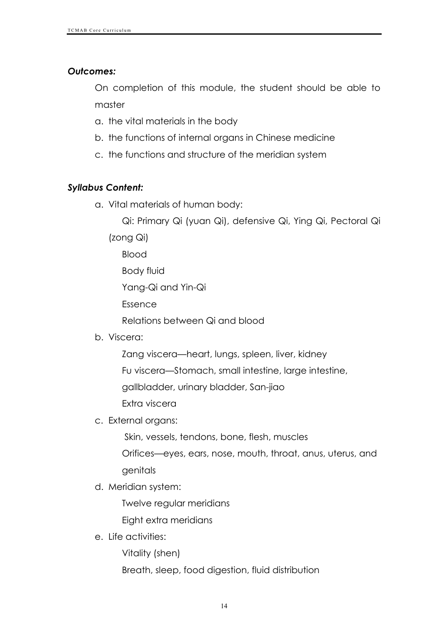#### *Outcomes:*

On completion of this module, the student should be able to master

- a. the vital materials in the body
- b. the functions of internal organs in Chinese medicine
- c. the functions and structure of the meridian system

### *Syllabus Content:*

- a. Vital materials of human body:
	- Qi: Primary Qi (yuan Qi), defensive Qi, Ying Qi, Pectoral Qi

(zong Qi)

Blood

Body fluid

Yang-Qi and Yin-Qi

Essence

Relations between Qi and blood

- b. Viscera:
	- Zang viscera—heart, lungs, spleen, liver, kidney

Fu viscera—Stomach, small intestine, large intestine,

gallbladder, urinary bladder, San-jiao

Extra viscera

c. External organs:

Skin, vessels, tendons, bone, flesh, muscles Orifices—eyes, ears, nose, mouth, throat, anus, uterus, and

genitals

d. Meridian system:

Twelve regular meridians

Eight extra meridians

e. Life activities:

Vitality (shen)

Breath, sleep, food digestion, fluid distribution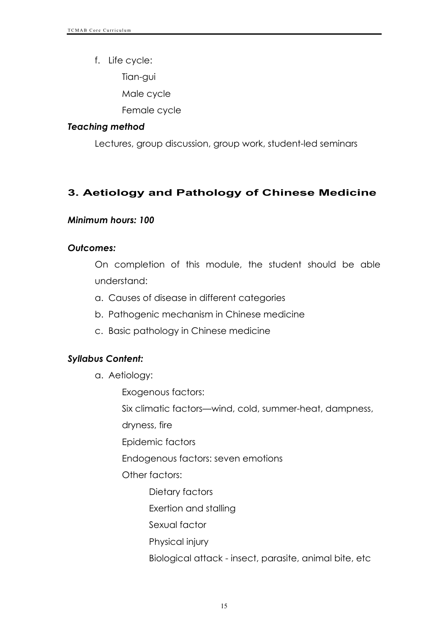f. Life cycle:

Tian-gui

Male cycle

Female cycle

#### *Teaching method*

Lectures, group discussion, group work, student-led seminars

# **3. Aetiology and Pathology of Chinese Medicine**

#### *Minimum hours: 100*

#### *Outcomes:*

On completion of this module, the student should be able understand:

- a. Causes of disease in different categories
- b. Pathogenic mechanism in Chinese medicine
- c. Basic pathology in Chinese medicine

#### *Syllabus Content:*

- a. Aetiology:
	- Exogenous factors:

Six climatic factors—wind, cold, summer-heat, dampness,

dryness, fire

Epidemic factors

Endogenous factors: seven emotions

Other factors:

- Dietary factors
- Exertion and stalling
- Sexual factor
- Physical injury
- Biological attack insect, parasite, animal bite, etc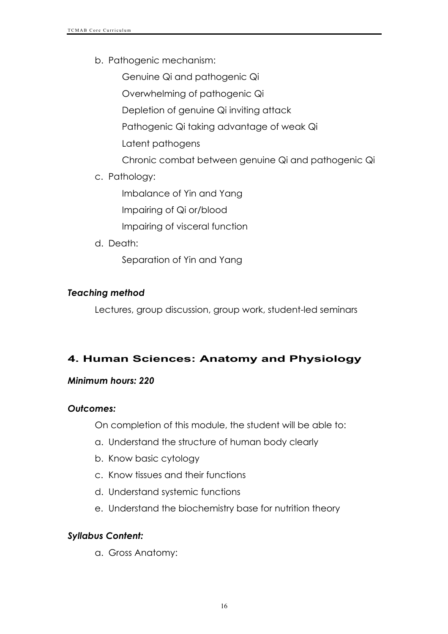b. Pathogenic mechanism:

Genuine Qi and pathogenic Qi Overwhelming of pathogenic Qi Depletion of genuine Qi inviting attack Pathogenic Qi taking advantage of weak Qi Latent pathogens Chronic combat between genuine Qi and pathogenic Qi

c. Pathology:

Imbalance of Yin and Yang

Impairing of Qi or/blood

Impairing of visceral function

d. Death:

Separation of Yin and Yang

# *Teaching method*

Lectures, group discussion, group work, student-led seminars

# **4. Human Sciences: Anatomy and Physiology**

#### *Minimum hours: 220*

#### *Outcomes:*

On completion of this module, the student will be able to:

- a. Understand the structure of human body clearly
- b. Know basic cytology
- c. Know tissues and their functions
- d. Understand systemic functions
- e. Understand the biochemistry base for nutrition theory

# *Syllabus Content:*

a. Gross Anatomy: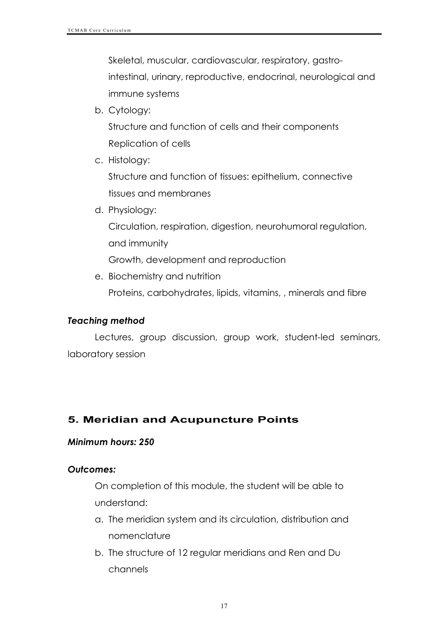Skeletal, muscular, cardiovascular, respiratory, gastrointestinal, urinary, reproductive, endocrinal, neurological and immune systems

b. Cytology:

Structure and function of cells and their components Replication of cells

c. Histology:

Structure and function of tissues: epithelium, connective tissues and membranes

d. Physiology:

Circulation, respiration, digestion, neurohumoral regulation, and immunity

Growth, development and reproduction

e. Biochemistry and nutrition

Proteins, carbohydrates, lipids, vitamins, , minerals and fibre

#### *Teaching method*

Lectures, group discussion, group work, student-led seminars, laboratory session

# **5. Meridian and Acupuncture Points**

#### *Minimum hours: 250*

#### *Outcomes:*

On completion of this module, the student will be able to understand:

- a. The meridian system and its circulation, distribution and nomenclature
- b. The structure of 12 regular meridians and Ren and Du channels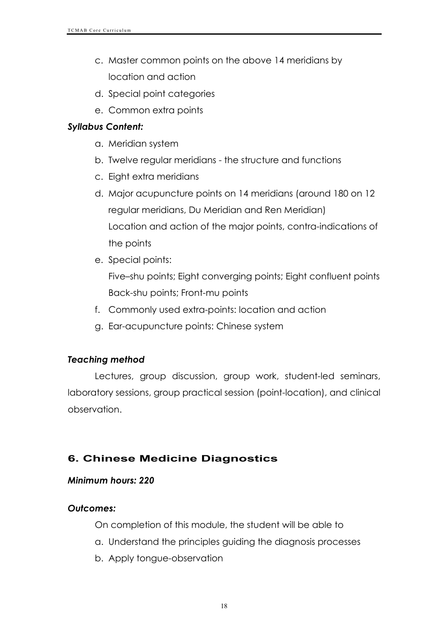- c. Master common points on the above 14 meridians by location and action
- d. Special point categories
- e. Common extra points

### *Syllabus Content:*

- a. Meridian system
- b. Twelve regular meridians the structure and functions
- c. Eight extra meridians
- d. Major acupuncture points on 14 meridians (around 180 on 12 regular meridians, Du Meridian and Ren Meridian) Location and action of the major points, contra-indications of the points
- e. Special points: Five–shu points; Eight converging points; Eight confluent points Back-shu points; Front-mu points
- f. Commonly used extra-points: location and action
- g. Ear-acupuncture points: Chinese system

# *Teaching method*

Lectures, group discussion, group work, student-led seminars, laboratory sessions, group practical session (point-location), and clinical observation.

# **6. Chinese Medicine Diagnostics**

#### *Minimum hours: 220*

#### *Outcomes:*

On completion of this module, the student will be able to

- a. Understand the principles guiding the diagnosis processes
- b. Apply tongue-observation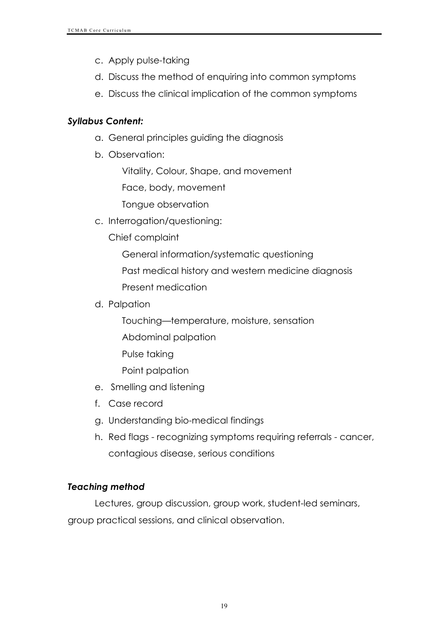- c. Apply pulse-taking
- d. Discuss the method of enquiring into common symptoms
- e. Discuss the clinical implication of the common symptoms

### *Syllabus Content:*

- a. General principles guiding the diagnosis
- b. Observation:

Vitality, Colour, Shape, and movement

Face, body, movement

Tongue observation

c. Interrogation/questioning:

Chief complaint

General information/systematic questioning

Past medical history and western medicine diagnosis

Present medication

d. Palpation

Touching—temperature, moisture, sensation

- Abdominal palpation
- Pulse taking

Point palpation

- e. Smelling and listening
- f. Case record
- g. Understanding bio-medical findings
- h. Red flags recognizing symptoms requiring referrals cancer, contagious disease, serious conditions

# *Teaching method*

Lectures, group discussion, group work, student-led seminars, group practical sessions, and clinical observation.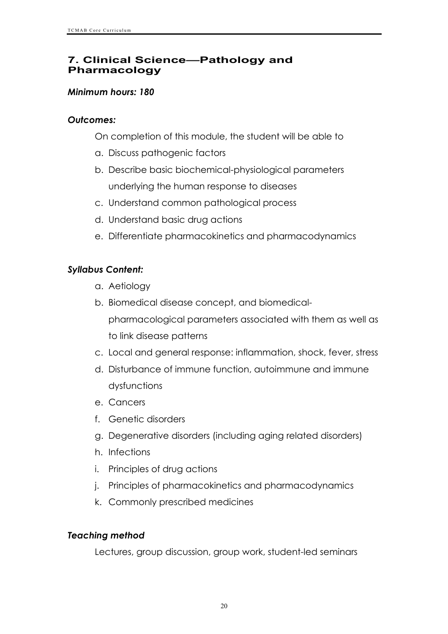# **7. Clinical Science—Pathology and Pharmacology**

#### *Minimum hours: 180*

#### *Outcomes:*

On completion of this module, the student will be able to

- a. Discuss pathogenic factors
- b. Describe basic biochemical-physiological parameters underlying the human response to diseases
- c. Understand common pathological process
- d. Understand basic drug actions
- e. Differentiate pharmacokinetics and pharmacodynamics

### *Syllabus Content:*

- a. Aetiology
- b. Biomedical disease concept, and biomedicalpharmacological parameters associated with them as well as to link disease patterns
- c. Local and general response: inflammation, shock, fever, stress
- d. Disturbance of immune function, autoimmune and immune dysfunctions
- e. Cancers
- f. Genetic disorders
- g. Degenerative disorders (including aging related disorders)
- h. Infections
- i. Principles of drug actions
- j. Principles of pharmacokinetics and pharmacodynamics
- k. Commonly prescribed medicines

#### *Teaching method*

Lectures, group discussion, group work, student-led seminars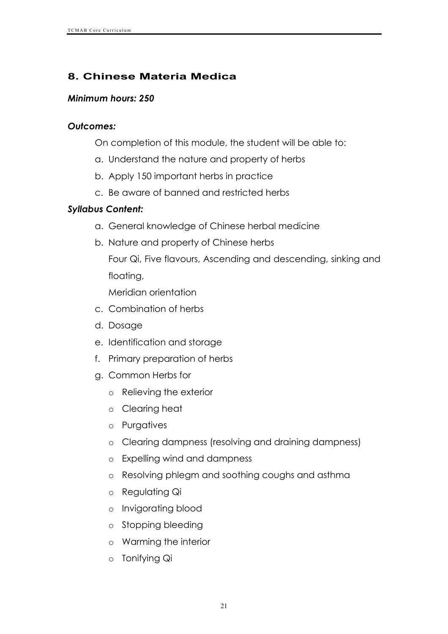# **8. Chinese Materia Medica**

#### *Minimum hours: 250*

#### *Outcomes:*

- On completion of this module, the student will be able to:
- a. Understand the nature and property of herbs
- b. Apply 150 important herbs in practice
- c. Be aware of banned and restricted herbs

# *Syllabus Content:*

- a. General knowledge of Chinese herbal medicine
- b. Nature and property of Chinese herbs

Four Qi, Five flavours, Ascending and descending, sinking and floating,

Meridian orientation

- c. Combination of herbs
- d. Dosage
- e. Identification and storage
- f. Primary preparation of herbs
- g. Common Herbs for
	- o Relieving the exterior
	- o Clearing heat
	- o Purgatives
	- o Clearing dampness (resolving and draining dampness)
	- o Expelling wind and dampness
	- o Resolving phlegm and soothing coughs and asthma
	- o Regulating Qi
	- o Invigorating blood
	- o Stopping bleeding
	- o Warming the interior
	- o Tonifying Qi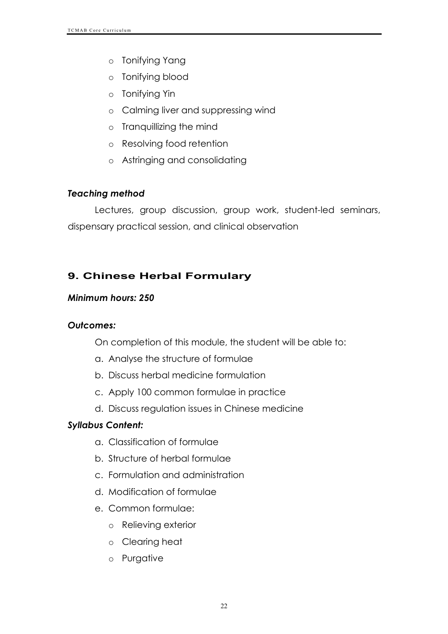- o Tonifying Yang
- o Tonifying blood
- o Tonifying Yin
- o Calming liver and suppressing wind
- o Tranquillizing the mind
- o Resolving food retention
- o Astringing and consolidating

# *Teaching method*

Lectures, group discussion, group work, student-led seminars, dispensary practical session, and clinical observation

# **9. Chinese Herbal Formulary**

# *Minimum hours: 250*

#### *Outcomes:*

On completion of this module, the student will be able to:

- a. Analyse the structure of formulae
- b. Discuss herbal medicine formulation
- c. Apply 100 common formulae in practice
- d. Discuss regulation issues in Chinese medicine

# *Syllabus Content:*

- a. Classification of formulae
- b. Structure of herbal formulae
- c. Formulation and administration
- d. Modification of formulae
- e. Common formulae:
	- o Relieving exterior
	- o Clearing heat
	- o Purgative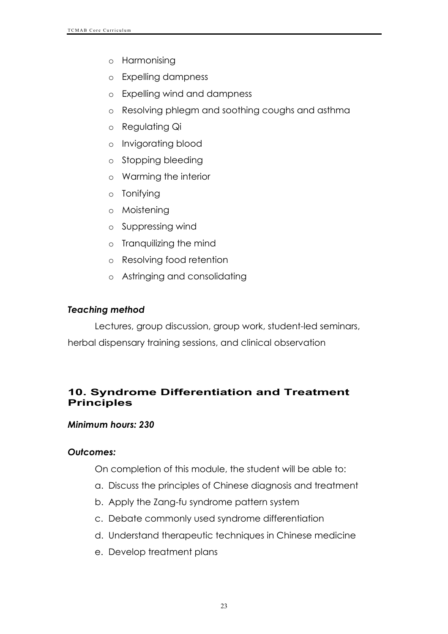- o Harmonising
- o Expelling dampness
- o Expelling wind and dampness
- o Resolving phlegm and soothing coughs and asthma
- o Regulating Qi
- o Invigorating blood
- o Stopping bleeding
- o Warming the interior
- o Tonifying
- o Moistening
- o Suppressing wind
- o Tranquilizing the mind
- o Resolving food retention
- o Astringing and consolidating

#### *Teaching method*

Lectures, group discussion, group work, student-led seminars, herbal dispensary training sessions, and clinical observation

# **10. Syndrome Differentiation and Treatment Principles**

#### *Minimum hours: 230*

#### *Outcomes:*

On completion of this module, the student will be able to:

- a. Discuss the principles of Chinese diagnosis and treatment
- b. Apply the Zang-fu syndrome pattern system
- c. Debate commonly used syndrome differentiation
- d. Understand therapeutic techniques in Chinese medicine
- e. Develop treatment plans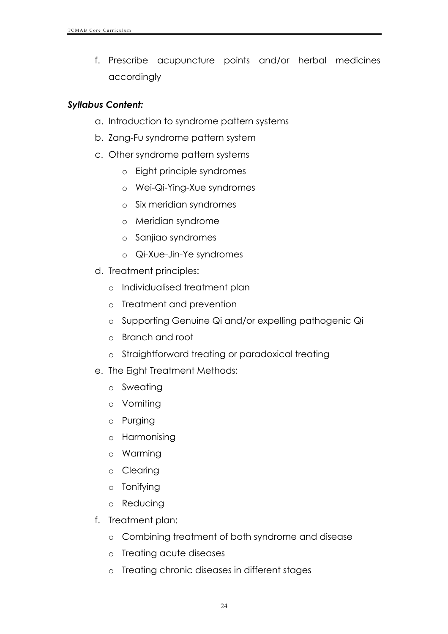f. Prescribe acupuncture points and/or herbal medicines accordingly

#### *Syllabus Content:*

- a. Introduction to syndrome pattern systems
- b. Zang-Fu syndrome pattern system
- c. Other syndrome pattern systems
	- o Eight principle syndromes
	- o Wei-Qi-Ying-Xue syndromes
	- o Six meridian syndromes
	- o Meridian syndrome
	- o Sanjiao syndromes
	- o Qi-Xue-Jin-Ye syndromes
- d. Treatment principles:
	- o Individualised treatment plan
	- o Treatment and prevention
	- o Supporting Genuine Qi and/or expelling pathogenic Qi
	- o Branch and root
	- o Straightforward treating or paradoxical treating
- e. The Eight Treatment Methods:
	- o Sweating
	- o Vomiting
	- o Purging
	- o Harmonising
	- o Warming
	- o Clearing
	- o Tonifying
	- o Reducing
- f. Treatment plan:
	- o Combining treatment of both syndrome and disease
	- o Treating acute diseases
	- o Treating chronic diseases in different stages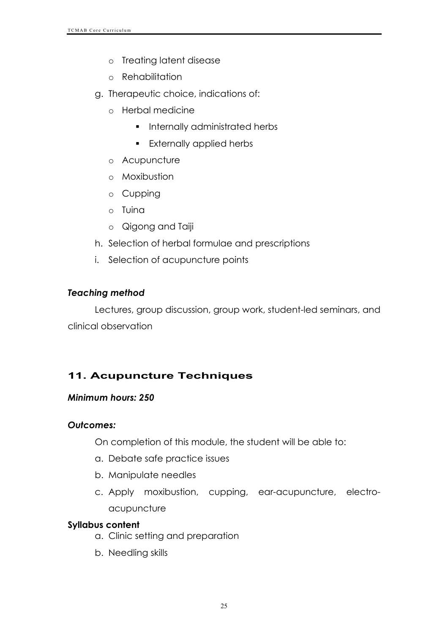- o Treating latent disease
- o Rehabilitation
- g. Therapeutic choice, indications of:
	- o Herbal medicine
		- **•** Internally administrated herbs
		- **Externally applied herbs**
	- o Acupuncture
	- o Moxibustion
	- o Cupping
	- o Tuina
	- o Qigong and Taiji
- h. Selection of herbal formulae and prescriptions
- i. Selection of acupuncture points

# *Teaching method*

Lectures, group discussion, group work, student-led seminars, and clinical observation

# **11. Acupuncture Techniques**

# *Minimum hours: 250*

# *Outcomes:*

On completion of this module, the student will be able to:

- a. Debate safe practice issues
- b. Manipulate needles
- c. Apply moxibustion, cupping, ear-acupuncture, electroacupuncture

# **Syllabus content**

- a. Clinic setting and preparation
- b. Needling skills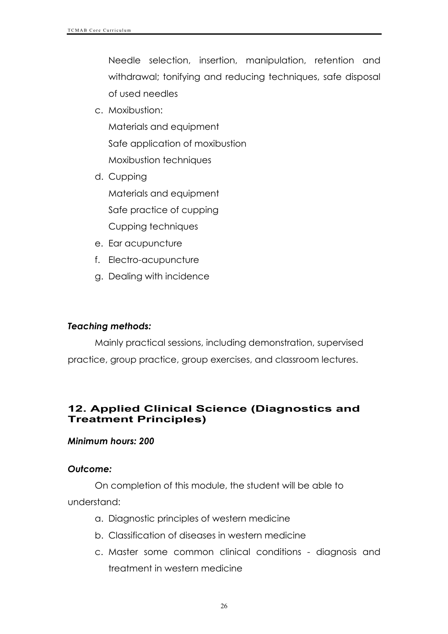Needle selection, insertion, manipulation, retention and withdrawal; tonifying and reducing techniques, safe disposal of used needles

c. Moxibustion:

Materials and equipment Safe application of moxibustion Moxibustion techniques

- d. Cupping Materials and equipment Safe practice of cupping Cupping techniques
- e. Ear acupuncture
- f. Electro-acupuncture
- g. Dealing with incidence

#### *Teaching methods:*

Mainly practical sessions, including demonstration, supervised practice, group practice, group exercises, and classroom lectures.

### **12. Applied Clinical Science (Diagnostics and Treatment Principles)**

#### *Minimum hours: 200*

#### *Outcome:*

On completion of this module, the student will be able to understand:

- a. Diagnostic principles of western medicine
- b. Classification of diseases in western medicine
- c. Master some common clinical conditions diagnosis and treatment in western medicine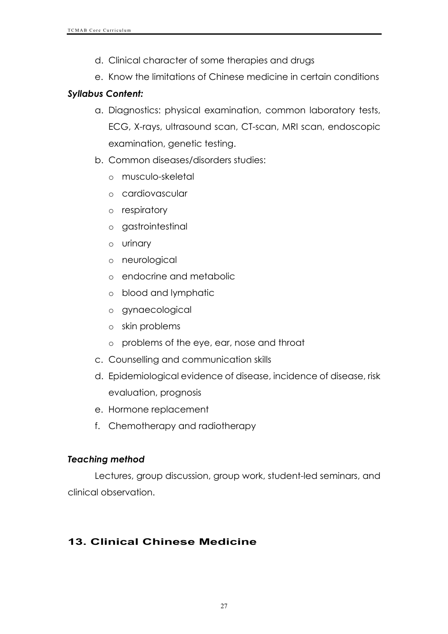- d. Clinical character of some therapies and drugs
- e. Know the limitations of Chinese medicine in certain conditions

# *Syllabus Content:*

- a. Diagnostics: physical examination, common laboratory tests, ECG, X-rays, ultrasound scan, CT-scan, MRI scan, endoscopic examination, genetic testing.
- b. Common diseases/disorders studies:
	- o musculo-skeletal
	- o cardiovascular
	- o respiratory
	- o gastrointestinal
	- o urinary
	- o neurological
	- o endocrine and metabolic
	- o blood and lymphatic
	- o gynaecological
	- o skin problems
	- o problems of the eye, ear, nose and throat
- c. Counselling and communication skills
- d. Epidemiological evidence of disease, incidence of disease, risk evaluation, prognosis
- e. Hormone replacement
- f. Chemotherapy and radiotherapy

# *Teaching method*

Lectures, group discussion, group work, student-led seminars, and clinical observation.

# **13. Clinical Chinese Medicine**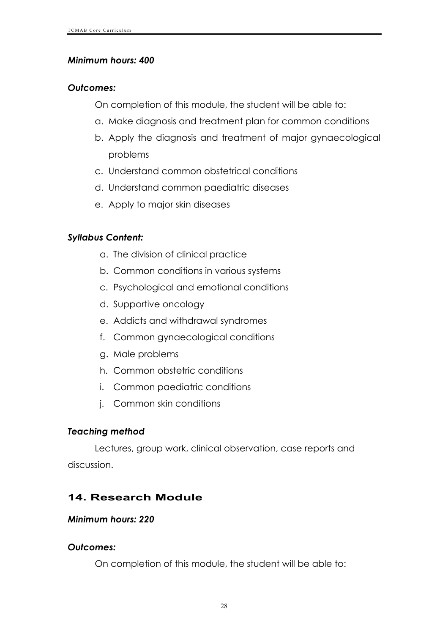### *Minimum hours: 400*

#### *Outcomes:*

On completion of this module, the student will be able to:

- a. Make diagnosis and treatment plan for common conditions
- b. Apply the diagnosis and treatment of major gynaecological problems
- c. Understand common obstetrical conditions
- d. Understand common paediatric diseases
- e. Apply to major skin diseases

# *Syllabus Content:*

- a. The division of clinical practice
- b. Common conditions in various systems
- c. Psychological and emotional conditions
- d. Supportive oncology
- e. Addicts and withdrawal syndromes
- f. Common gynaecological conditions
- g. Male problems
- h. Common obstetric conditions
- i. Common paediatric conditions
- j. Common skin conditions

#### *Teaching method*

Lectures, group work, clinical observation, case reports and discussion.

# **14. Research Module**

#### *Minimum hours: 220*

#### *Outcomes:*

On completion of this module, the student will be able to: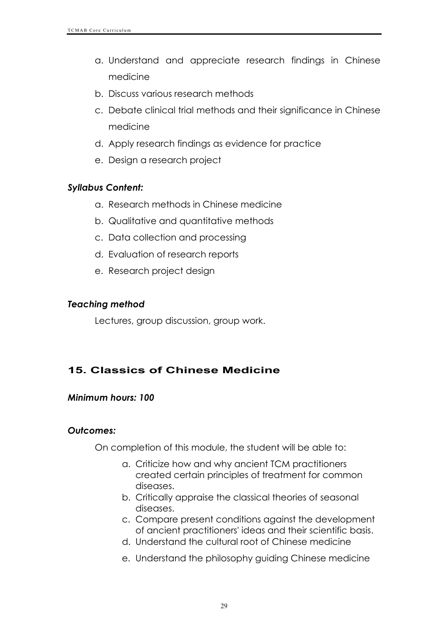- a. Understand and appreciate research findings in Chinese medicine
- b. Discuss various research methods
- c. Debate clinical trial methods and their significance in Chinese medicine
- d. Apply research findings as evidence for practice
- e. Design a research project

#### *Syllabus Content:*

- a. Research methods in Chinese medicine
- b. Qualitative and quantitative methods
- c. Data collection and processing
- d. Evaluation of research reports
- e. Research project design

#### *Teaching method*

Lectures, group discussion, group work.

# **15. Classics of Chinese Medicine**

#### *Minimum hours: 100*

#### *Outcomes:*

On completion of this module, the student will be able to:

- a. Criticize how and why ancient TCM practitioners created certain principles of treatment for common diseases.
- b. Critically appraise the classical theories of seasonal diseases.
- c. Compare present conditions against the development of ancient practitioners' ideas and their scientific basis.
- d. Understand the cultural root of Chinese medicine
- e. Understand the philosophy guiding Chinese medicine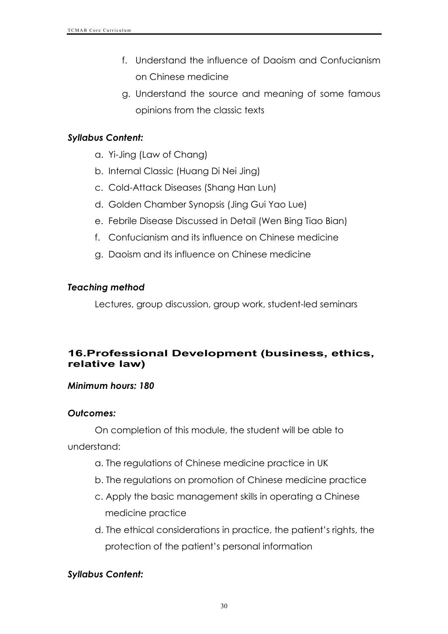- f. Understand the influence of Daoism and Confucianism on Chinese medicine
- g. Understand the source and meaning of some famous opinions from the classic texts

### *Syllabus Content:*

- a. Yi-Jing (Law of Chang)
- b. Internal Classic (Huang Di Nei Jing)
- c. Cold-Attack Diseases (Shang Han Lun)
- d. Golden Chamber Synopsis (Jing Gui Yao Lue)
- e. Febrile Disease Discussed in Detail (Wen Bing Tiao Bian)
- f. Confucianism and its influence on Chinese medicine
- g. Daoism and its influence on Chinese medicine

### *Teaching method*

Lectures, group discussion, group work, student-led seminars

# **16.Professional Development (business, ethics, relative law)**

#### *Minimum hours: 180*

#### *Outcomes:*

On completion of this module, the student will be able to understand:

- a. The regulations of Chinese medicine practice in UK
- b. The regulations on promotion of Chinese medicine practice
- c. Apply the basic management skills in operating a Chinese medicine practice
- d. The ethical considerations in practice, the patient's rights, the protection of the patient's personal information

# *Syllabus Content:*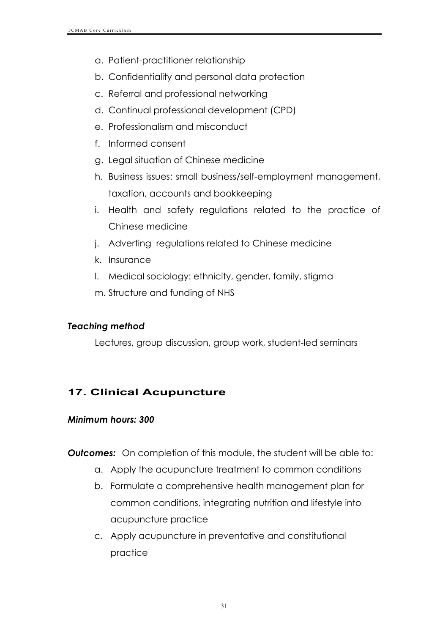- a. Patient-practitioner relationship
- b. Confidentiality and personal data protection
- c. Referral and professional networking
- d. Continual professional development (CPD)
- e. Professionalism and misconduct
- f. Informed consent
- g. Legal situation of Chinese medicine
- h. Business issues: small business/self-employment management, taxation, accounts and bookkeeping
- i. Health and safety regulations related to the practice of Chinese medicine
- j. Adverting regulations related to Chinese medicine
- k. Insurance
- l. Medical sociology: ethnicity, gender, family, stigma
- m. Structure and funding of NHS

#### *Teaching method*

Lectures, group discussion, group work, student-led seminars

# **17. Clinical Acupuncture**

#### *Minimum hours: 300*

**Outcomes:** On completion of this module, the student will be able to:

- a. Apply the acupuncture treatment to common conditions
- b. Formulate a comprehensive health management plan for common conditions, integrating nutrition and lifestyle into acupuncture practice
- c. Apply acupuncture in preventative and constitutional practice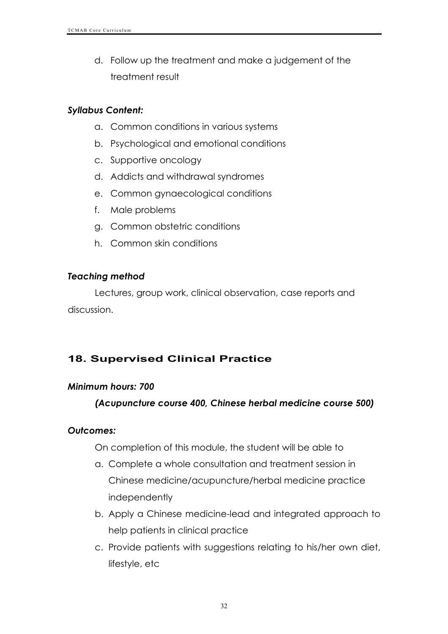d. Follow up the treatment and make a judgement of the treatment result

#### *Syllabus Content:*

- a. Common conditions in various systems
- b. Psychological and emotional conditions
- c. Supportive oncology
- d. Addicts and withdrawal syndromes
- e. Common gynaecological conditions
- f. Male problems
- g. Common obstetric conditions
- h. Common skin conditions

### *Teaching method*

Lectures, group work, clinical observation, case reports and discussion.

# **18. Supervised Clinical Practice**

#### *Minimum hours: 700*

# *(Acupuncture course 400, Chinese herbal medicine course 500)*

#### *Outcomes:*

On completion of this module, the student will be able to

- a. Complete a whole consultation and treatment session in Chinese medicine/acupuncture/herbal medicine practice independently
- b. Apply a Chinese medicine-lead and integrated approach to help patients in clinical practice
- c. Provide patients with suggestions relating to his/her own diet, lifestyle, etc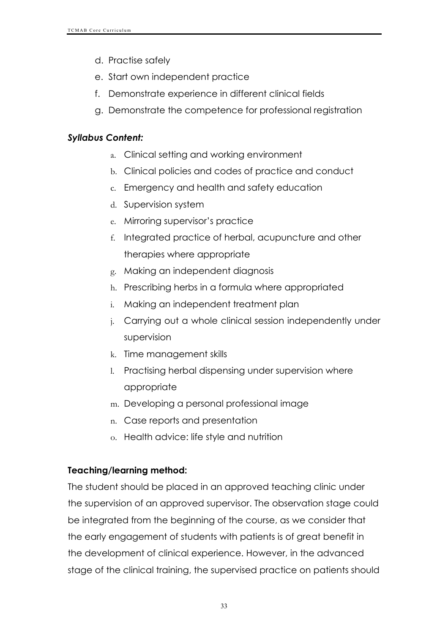- d. Practise safely
- e. Start own independent practice
- f. Demonstrate experience in different clinical fields
- g. Demonstrate the competence for professional registration

# *Syllabus Content:*

- a. Clinical setting and working environment
- b. Clinical policies and codes of practice and conduct
- c. Emergency and health and safety education
- d. Supervision system
- e. Mirroring supervisor's practice
- f. Integrated practice of herbal, acupuncture and other therapies where appropriate
- g. Making an independent diagnosis
- h. Prescribing herbs in a formula where appropriated
- i. Making an independent treatment plan
- j. Carrying out a whole clinical session independently under supervision
- k. Time management skills
- l. Practising herbal dispensing under supervision where appropriate
- m. Developing a personal professional image
- n. Case reports and presentation
- o. Health advice: life style and nutrition

# **Teaching/learning method:**

The student should be placed in an approved teaching clinic under the supervision of an approved supervisor. The observation stage could be integrated from the beginning of the course, as we consider that the early engagement of students with patients is of great benefit in the development of clinical experience. However, in the advanced stage of the clinical training, the supervised practice on patients should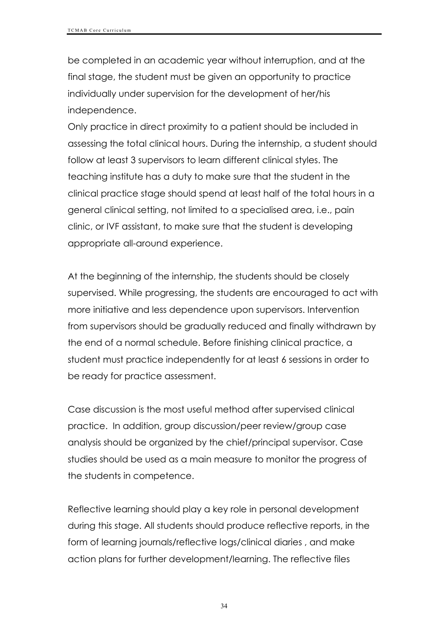be completed in an academic year without interruption, and at the final stage, the student must be given an opportunity to practice individually under supervision for the development of her/his independence.

Only practice in direct proximity to a patient should be included in assessing the total clinical hours. During the internship, a student should follow at least 3 supervisors to learn different clinical styles. The teaching institute has a duty to make sure that the student in the clinical practice stage should spend at least half of the total hours in a general clinical setting, not limited to a specialised area, i.e., pain clinic, or IVF assistant, to make sure that the student is developing appropriate all-around experience.

At the beginning of the internship, the students should be closely supervised. While progressing, the students are encouraged to act with more initiative and less dependence upon supervisors. Intervention from supervisors should be gradually reduced and finally withdrawn by the end of a normal schedule. Before finishing clinical practice, a student must practice independently for at least 6 sessions in order to be ready for practice assessment.

Case discussion is the most useful method after supervised clinical practice. In addition, group discussion/peer review/group case analysis should be organized by the chief/principal supervisor. Case studies should be used as a main measure to monitor the progress of the students in competence.

Reflective learning should play a key role in personal development during this stage. All students should produce reflective reports, in the form of learning journals/reflective logs/clinical diaries , and make action plans for further development/learning. The reflective files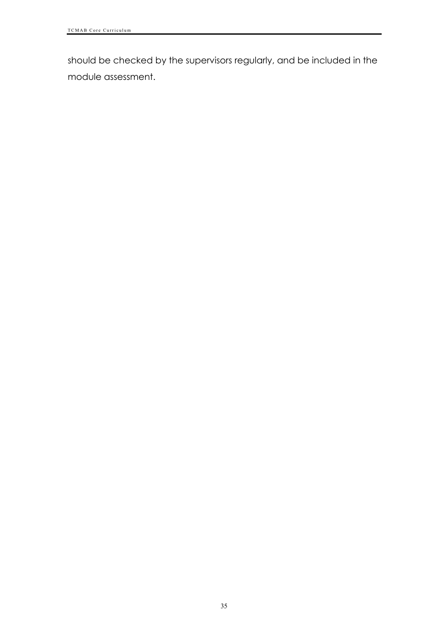should be checked by the supervisors regularly, and be included in the module assessment.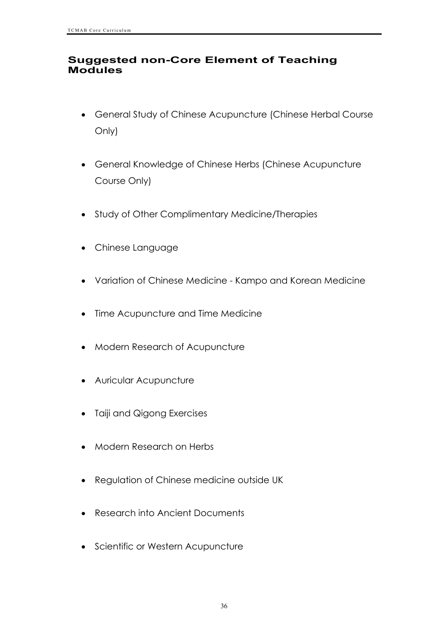#### **Suggested non-Core Element of Teaching Modules**

- General Study of Chinese Acupuncture (Chinese Herbal Course Only)
- General Knowledge of Chinese Herbs (Chinese Acupuncture Course Only)
- Study of Other Complimentary Medicine/Therapies
- Chinese Language
- Variation of Chinese Medicine Kampo and Korean Medicine
- Time Acupuncture and Time Medicine
- Modern Research of Acupuncture
- Auricular Acupuncture
- Taiji and Qigong Exercises
- Modern Research on Herbs
- Regulation of Chinese medicine outside UK
- Research into Ancient Documents
- Scientific or Western Acupuncture